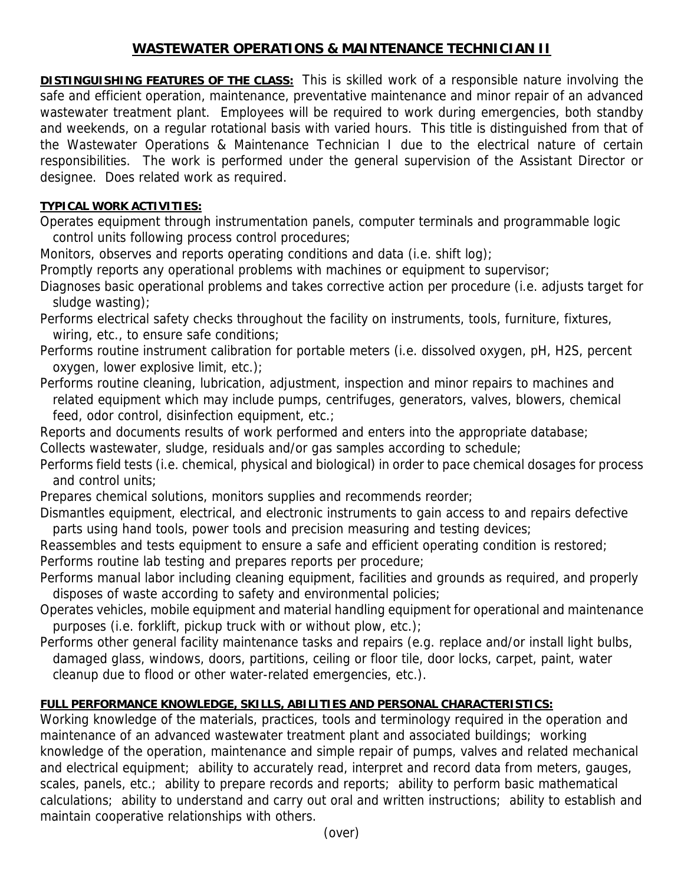## **WASTEWATER OPERATIONS & MAINTENANCE TECHNICIAN II**

**DISTINGUISHING FEATURES OF THE CLASS:** This is skilled work of a responsible nature involving the safe and efficient operation, maintenance, preventative maintenance and minor repair of an advanced wastewater treatment plant. Employees will be required to work during emergencies, both standby and weekends, on a regular rotational basis with varied hours. This title is distinguished from that of the Wastewater Operations & Maintenance Technician I due to the electrical nature of certain responsibilities. The work is performed under the general supervision of the Assistant Director or designee. Does related work as required.

## **TYPICAL WORK ACTIVITIES:**

Operates equipment through instrumentation panels, computer terminals and programmable logic control units following process control procedures;

Monitors, observes and reports operating conditions and data (i.e. shift log);

Promptly reports any operational problems with machines or equipment to supervisor;

Diagnoses basic operational problems and takes corrective action per procedure (i.e. adjusts target for sludge wasting);

- Performs electrical safety checks throughout the facility on instruments, tools, furniture, fixtures, wiring, etc., to ensure safe conditions;
- Performs routine instrument calibration for portable meters (i.e. dissolved oxygen, pH, H2S, percent oxygen, lower explosive limit, etc.);
- Performs routine cleaning, lubrication, adjustment, inspection and minor repairs to machines and related equipment which may include pumps, centrifuges, generators, valves, blowers, chemical feed, odor control, disinfection equipment, etc.;

Reports and documents results of work performed and enters into the appropriate database; Collects wastewater, sludge, residuals and/or gas samples according to schedule;

Performs field tests (i.e. chemical, physical and biological) in order to pace chemical dosages for process and control units;

Prepares chemical solutions, monitors supplies and recommends reorder;

Dismantles equipment, electrical, and electronic instruments to gain access to and repairs defective parts using hand tools, power tools and precision measuring and testing devices;

Reassembles and tests equipment to ensure a safe and efficient operating condition is restored; Performs routine lab testing and prepares reports per procedure;

- Performs manual labor including cleaning equipment, facilities and grounds as required, and properly disposes of waste according to safety and environmental policies;
- Operates vehicles, mobile equipment and material handling equipment for operational and maintenance purposes (i.e. forklift, pickup truck with or without plow, etc.);
- Performs other general facility maintenance tasks and repairs (e.g. replace and/or install light bulbs, damaged glass, windows, doors, partitions, ceiling or floor tile, door locks, carpet, paint, water cleanup due to flood or other water-related emergencies, etc.).

## **FULL PERFORMANCE KNOWLEDGE, SKILLS, ABILITIES AND PERSONAL CHARACTERISTICS:**

Working knowledge of the materials, practices, tools and terminology required in the operation and maintenance of an advanced wastewater treatment plant and associated buildings; working knowledge of the operation, maintenance and simple repair of pumps, valves and related mechanical and electrical equipment; ability to accurately read, interpret and record data from meters, gauges, scales, panels, etc.; ability to prepare records and reports; ability to perform basic mathematical calculations; ability to understand and carry out oral and written instructions; ability to establish and maintain cooperative relationships with others.